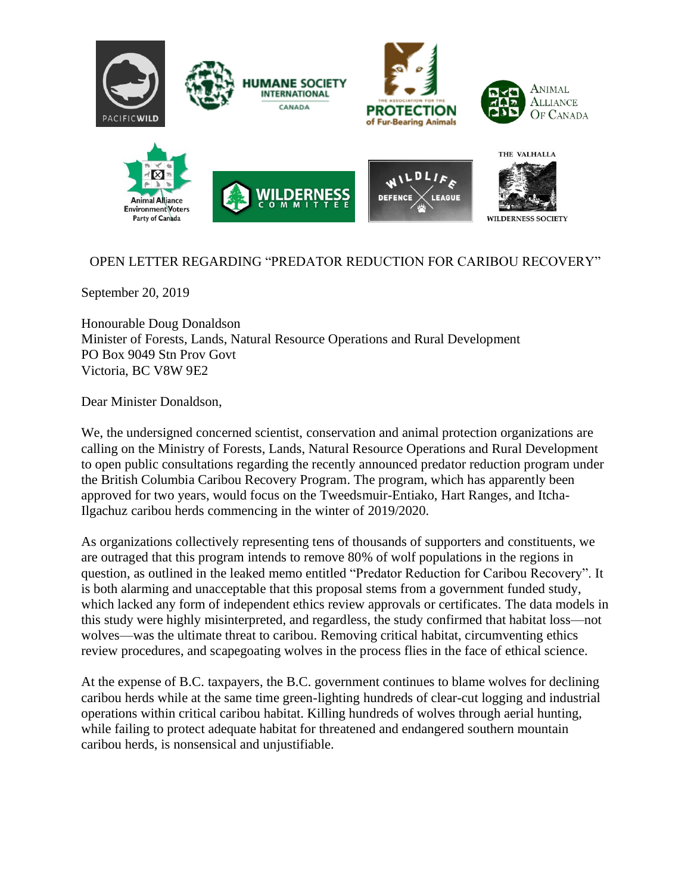

## OPEN LETTER REGARDING "PREDATOR REDUCTION FOR CARIBOU RECOVERY"

September 20, 2019

Honourable Doug Donaldson Minister of Forests, Lands, Natural Resource Operations and Rural Development PO Box 9049 Stn Prov Govt Victoria, BC V8W 9E2

Dear Minister Donaldson,

We, the undersigned concerned scientist, conservation and animal protection organizations are calling on the Ministry of Forests, Lands, Natural Resource Operations and Rural Development to open public consultations regarding the recently announced predator reduction program under the British Columbia Caribou Recovery Program. The program, which has apparently been approved for two years, would focus on the Tweedsmuir-Entiako, Hart Ranges, and Itcha-Ilgachuz caribou herds commencing in the winter of 2019/2020.

As organizations collectively representing tens of thousands of supporters and constituents, we are outraged that this program intends to remove 80% of wolf populations in the regions in question, as outlined in the leaked memo entitled "Predator Reduction for Caribou Recovery". It is both alarming and unacceptable that this proposal stems from a government funded study, which lacked any form of independent ethics review approvals or certificates. The data models in this study were highly misinterpreted, and regardless, the study confirmed that habitat loss—not wolves—was the ultimate threat to caribou. Removing critical habitat, circumventing ethics review procedures, and scapegoating wolves in the process flies in the face of ethical science.

At the expense of B.C. taxpayers, the B.C. government continues to blame wolves for declining caribou herds while at the same time green-lighting hundreds of clear-cut logging and industrial operations within critical caribou habitat. Killing hundreds of wolves through aerial hunting, while failing to protect adequate habitat for threatened and endangered southern mountain caribou herds, is nonsensical and unjustifiable.